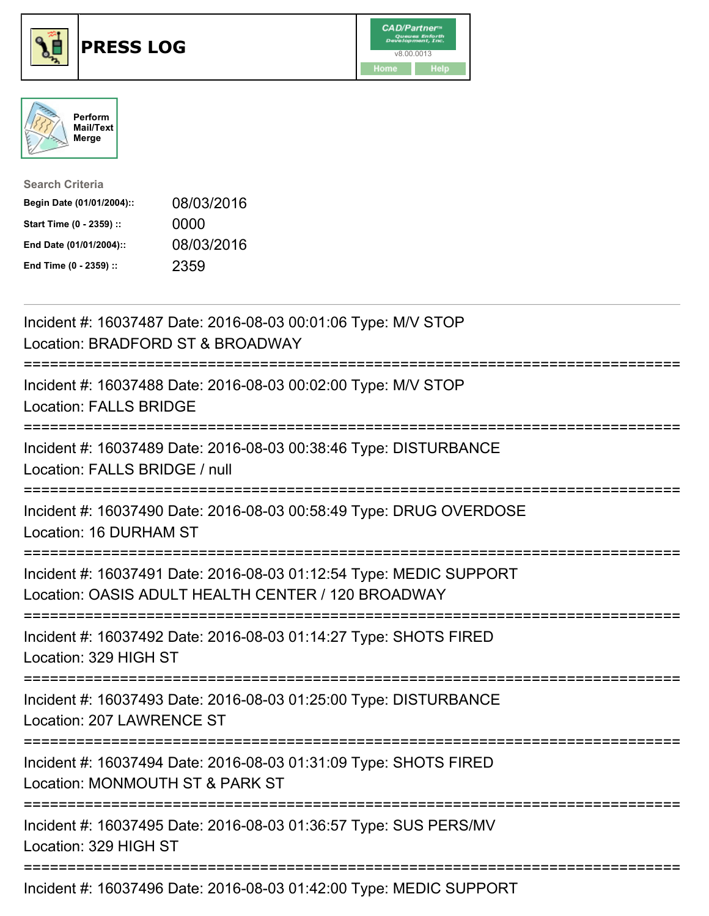





| <b>Search Criteria</b>    |            |
|---------------------------|------------|
| Begin Date (01/01/2004):: | 08/03/2016 |
| Start Time (0 - 2359) ::  | 0000       |
| End Date (01/01/2004)::   | 08/03/2016 |
| End Time (0 - 2359) ::    | 2359       |

| Incident #: 16037487 Date: 2016-08-03 00:01:06 Type: M/V STOP<br>Location: BRADFORD ST & BROADWAY                        |
|--------------------------------------------------------------------------------------------------------------------------|
| Incident #: 16037488 Date: 2016-08-03 00:02:00 Type: M/V STOP<br><b>Location: FALLS BRIDGE</b>                           |
| Incident #: 16037489 Date: 2016-08-03 00:38:46 Type: DISTURBANCE<br>Location: FALLS BRIDGE / null                        |
| Incident #: 16037490 Date: 2016-08-03 00:58:49 Type: DRUG OVERDOSE<br>Location: 16 DURHAM ST                             |
| Incident #: 16037491 Date: 2016-08-03 01:12:54 Type: MEDIC SUPPORT<br>Location: OASIS ADULT HEALTH CENTER / 120 BROADWAY |
| Incident #: 16037492 Date: 2016-08-03 01:14:27 Type: SHOTS FIRED<br>Location: 329 HIGH ST                                |
| Incident #: 16037493 Date: 2016-08-03 01:25:00 Type: DISTURBANCE<br>Location: 207 LAWRENCE ST                            |
| Incident #: 16037494 Date: 2016-08-03 01:31:09 Type: SHOTS FIRED<br>Location: MONMOUTH ST & PARK ST                      |
| Incident #: 16037495 Date: 2016-08-03 01:36:57 Type: SUS PERS/MV<br>Location: 329 HIGH ST                                |
| Incident #: 16037496 Date: 2016-08-03 01:42:00 Type: MEDIC SUPPORT                                                       |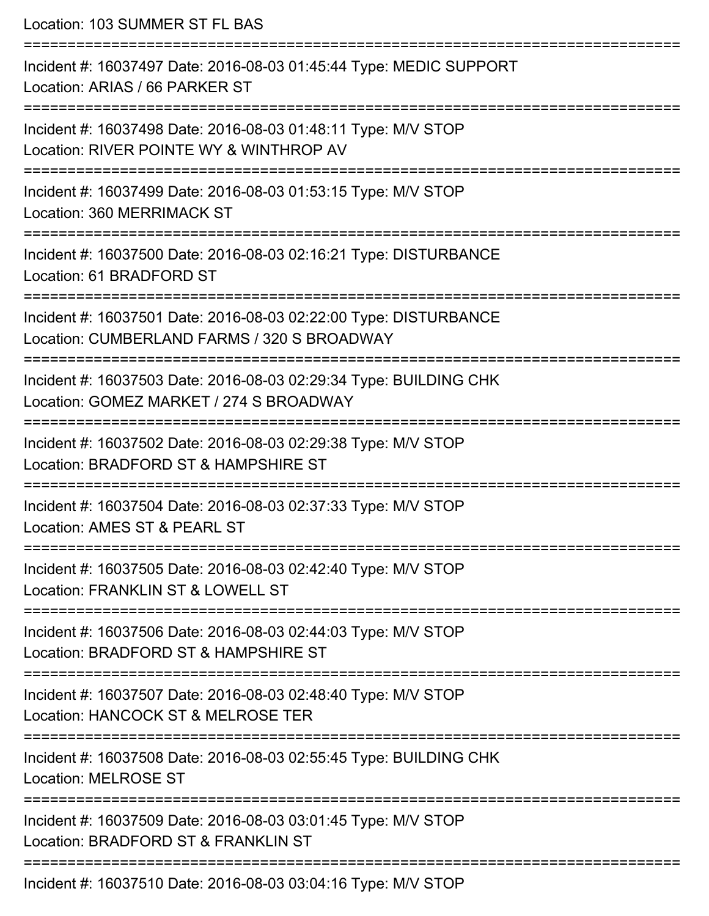Location: 103 SUMMER ST FL BAS

=========================================================================== Incident #: 16037497 Date: 2016-08-03 01:45:44 Type: MEDIC SUPPORT Location: ARIAS / 66 PARKER ST =========================================================================== Incident #: 16037498 Date: 2016-08-03 01:48:11 Type: M/V STOP Location: RIVER POINTE WY & WINTHROP AV =========================================================================== Incident #: 16037499 Date: 2016-08-03 01:53:15 Type: M/V STOP Location: 360 MERRIMACK ST =========================================================================== Incident #: 16037500 Date: 2016-08-03 02:16:21 Type: DISTURBANCE Location: 61 BRADFORD ST =========================================================================== Incident #: 16037501 Date: 2016-08-03 02:22:00 Type: DISTURBANCE Location: CUMBERLAND FARMS / 320 S BROADWAY =========================================================================== Incident #: 16037503 Date: 2016-08-03 02:29:34 Type: BUILDING CHK Location: GOMEZ MARKET / 274 S BROADWAY =========================================================================== Incident #: 16037502 Date: 2016-08-03 02:29:38 Type: M/V STOP Location: BRADFORD ST & HAMPSHIRE ST =========================================================================== Incident #: 16037504 Date: 2016-08-03 02:37:33 Type: M/V STOP Location: AMES ST & PEARL ST =========================================================================== Incident #: 16037505 Date: 2016-08-03 02:42:40 Type: M/V STOP Location: FRANKLIN ST & LOWELL ST =========================================================================== Incident #: 16037506 Date: 2016-08-03 02:44:03 Type: M/V STOP Location: BRADFORD ST & HAMPSHIRE ST =========================================================================== Incident #: 16037507 Date: 2016-08-03 02:48:40 Type: M/V STOP Location: HANCOCK ST & MELROSE TER =========================================================================== Incident #: 16037508 Date: 2016-08-03 02:55:45 Type: BUILDING CHK Location: MELROSE ST =========================================================================== Incident #: 16037509 Date: 2016-08-03 03:01:45 Type: M/V STOP Location: BRADFORD ST & FRANKLIN ST =========================================================================== Incident #: 16037510 Date: 2016-08-03 03:04:16 Type: M/V STOP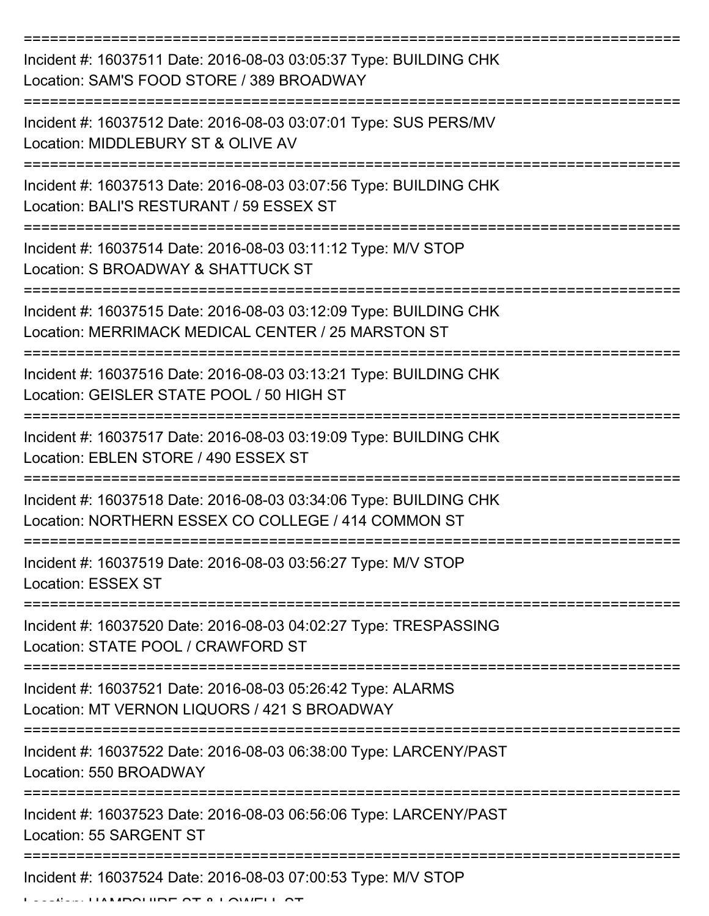| Incident #: 16037511 Date: 2016-08-03 03:05:37 Type: BUILDING CHK<br>Location: SAM'S FOOD STORE / 389 BROADWAY           |
|--------------------------------------------------------------------------------------------------------------------------|
| Incident #: 16037512 Date: 2016-08-03 03:07:01 Type: SUS PERS/MV<br>Location: MIDDLEBURY ST & OLIVE AV                   |
| Incident #: 16037513 Date: 2016-08-03 03:07:56 Type: BUILDING CHK<br>Location: BALI'S RESTURANT / 59 ESSEX ST            |
| Incident #: 16037514 Date: 2016-08-03 03:11:12 Type: M/V STOP<br>Location: S BROADWAY & SHATTUCK ST                      |
| Incident #: 16037515 Date: 2016-08-03 03:12:09 Type: BUILDING CHK<br>Location: MERRIMACK MEDICAL CENTER / 25 MARSTON ST  |
| Incident #: 16037516 Date: 2016-08-03 03:13:21 Type: BUILDING CHK<br>Location: GEISLER STATE POOL / 50 HIGH ST           |
| Incident #: 16037517 Date: 2016-08-03 03:19:09 Type: BUILDING CHK<br>Location: EBLEN STORE / 490 ESSEX ST                |
| Incident #: 16037518 Date: 2016-08-03 03:34:06 Type: BUILDING CHK<br>Location: NORTHERN ESSEX CO COLLEGE / 414 COMMON ST |
| Incident #: 16037519 Date: 2016-08-03 03:56:27 Type: M/V STOP<br><b>Location: ESSEX ST</b>                               |
| Incident #: 16037520 Date: 2016-08-03 04:02:27 Type: TRESPASSING<br>Location: STATE POOL / CRAWFORD ST                   |
| Incident #: 16037521 Date: 2016-08-03 05:26:42 Type: ALARMS<br>Location: MT VERNON LIQUORS / 421 S BROADWAY              |
| Incident #: 16037522 Date: 2016-08-03 06:38:00 Type: LARCENY/PAST<br>Location: 550 BROADWAY                              |
| Incident #: 16037523 Date: 2016-08-03 06:56:06 Type: LARCENY/PAST<br>Location: 55 SARGENT ST                             |
| Incident #: 16037524 Date: 2016-08-03 07:00:53 Type: M/V STOP                                                            |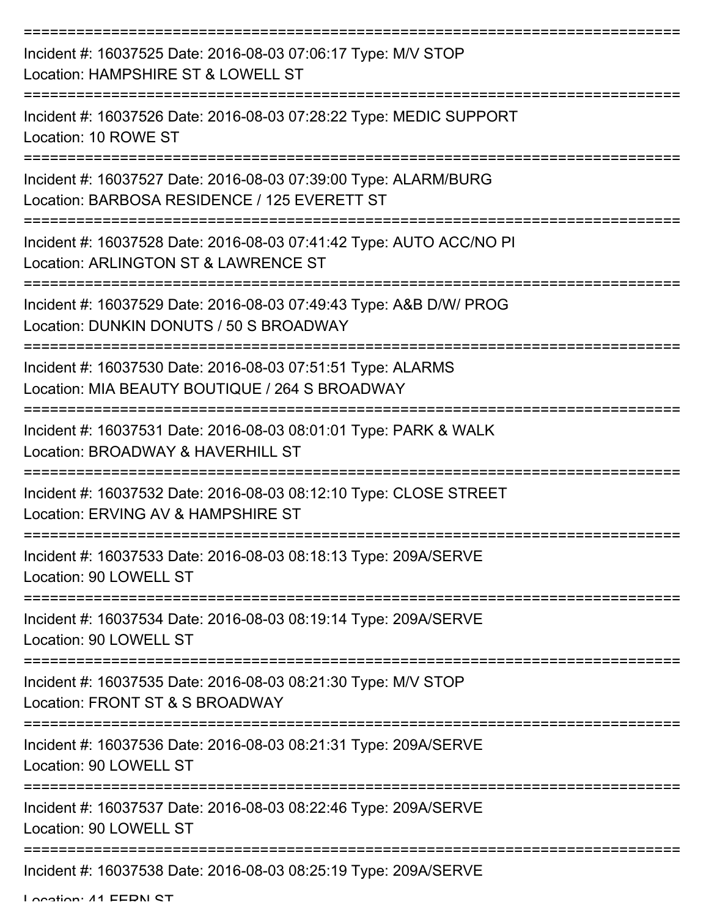| Incident #: 16037525 Date: 2016-08-03 07:06:17 Type: M/V STOP<br>Location: HAMPSHIRE ST & LOWELL ST             |
|-----------------------------------------------------------------------------------------------------------------|
| Incident #: 16037526 Date: 2016-08-03 07:28:22 Type: MEDIC SUPPORT<br>Location: 10 ROWE ST                      |
| Incident #: 16037527 Date: 2016-08-03 07:39:00 Type: ALARM/BURG<br>Location: BARBOSA RESIDENCE / 125 EVERETT ST |
| Incident #: 16037528 Date: 2016-08-03 07:41:42 Type: AUTO ACC/NO PI<br>Location: ARLINGTON ST & LAWRENCE ST     |
| Incident #: 16037529 Date: 2016-08-03 07:49:43 Type: A&B D/W/ PROG<br>Location: DUNKIN DONUTS / 50 S BROADWAY   |
| Incident #: 16037530 Date: 2016-08-03 07:51:51 Type: ALARMS<br>Location: MIA BEAUTY BOUTIQUE / 264 S BROADWAY   |
| Incident #: 16037531 Date: 2016-08-03 08:01:01 Type: PARK & WALK<br>Location: BROADWAY & HAVERHILL ST           |
| Incident #: 16037532 Date: 2016-08-03 08:12:10 Type: CLOSE STREET<br>Location: ERVING AV & HAMPSHIRE ST         |
| Incident #: 16037533 Date: 2016-08-03 08:18:13 Type: 209A/SERVE<br>Location: 90 LOWELL ST                       |
| Incident #: 16037534 Date: 2016-08-03 08:19:14 Type: 209A/SERVE<br>Location: 90 LOWELL ST                       |
| Incident #: 16037535 Date: 2016-08-03 08:21:30 Type: M/V STOP<br>Location: FRONT ST & S BROADWAY                |
| Incident #: 16037536 Date: 2016-08-03 08:21:31 Type: 209A/SERVE<br>Location: 90 LOWELL ST                       |
| Incident #: 16037537 Date: 2016-08-03 08:22:46 Type: 209A/SERVE<br>Location: 90 LOWELL ST                       |
| Incident #: 16037538 Date: 2016-08-03 08:25:19 Type: 209A/SERVE                                                 |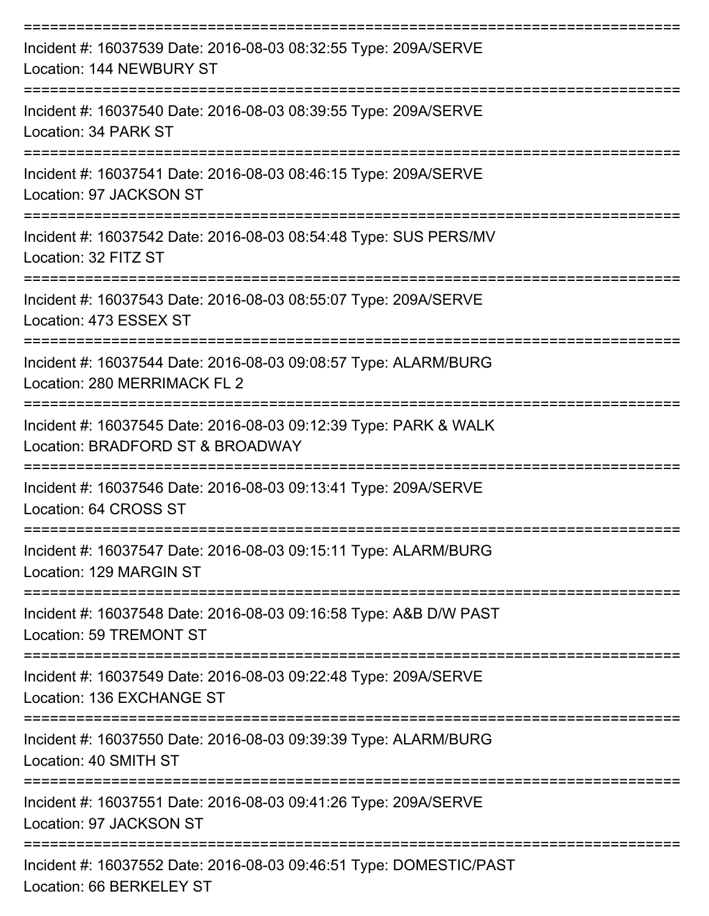| Incident #: 16037539 Date: 2016-08-03 08:32:55 Type: 209A/SERVE<br>Location: 144 NEWBURY ST                     |
|-----------------------------------------------------------------------------------------------------------------|
| Incident #: 16037540 Date: 2016-08-03 08:39:55 Type: 209A/SERVE<br>Location: 34 PARK ST                         |
| Incident #: 16037541 Date: 2016-08-03 08:46:15 Type: 209A/SERVE<br>Location: 97 JACKSON ST                      |
| Incident #: 16037542 Date: 2016-08-03 08:54:48 Type: SUS PERS/MV<br>Location: 32 FITZ ST                        |
| Incident #: 16037543 Date: 2016-08-03 08:55:07 Type: 209A/SERVE<br>Location: 473 ESSEX ST                       |
| Incident #: 16037544 Date: 2016-08-03 09:08:57 Type: ALARM/BURG<br>Location: 280 MERRIMACK FL 2                 |
| Incident #: 16037545 Date: 2016-08-03 09:12:39 Type: PARK & WALK<br>Location: BRADFORD ST & BROADWAY            |
| Incident #: 16037546 Date: 2016-08-03 09:13:41 Type: 209A/SERVE<br>Location: 64 CROSS ST                        |
| Incident #: 16037547 Date: 2016-08-03 09:15:11 Type: ALARM/BURG<br>Location: 129 MARGIN ST                      |
| ===============<br>Incident #: 16037548 Date: 2016-08-03 09:16:58 Type: A&B D/W PAST<br>Location: 59 TREMONT ST |
| Incident #: 16037549 Date: 2016-08-03 09:22:48 Type: 209A/SERVE<br>Location: 136 EXCHANGE ST                    |
| Incident #: 16037550 Date: 2016-08-03 09:39:39 Type: ALARM/BURG<br>Location: 40 SMITH ST                        |
| Incident #: 16037551 Date: 2016-08-03 09:41:26 Type: 209A/SERVE<br>Location: 97 JACKSON ST                      |
| Incident #: 16037552 Date: 2016-08-03 09:46:51 Type: DOMESTIC/PAST<br>Location: GG DEDICI EV CT                 |

Location: 66 BERKELEY ST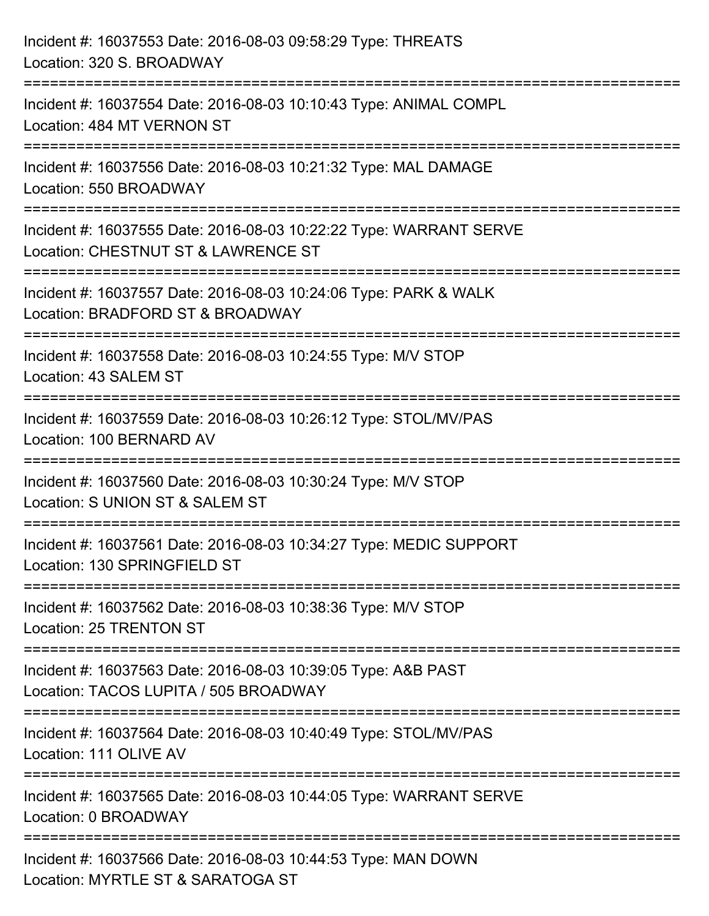| Incident #: 16037553 Date: 2016-08-03 09:58:29 Type: THREATS<br>Location: 320 S. BROADWAY                                                                                     |
|-------------------------------------------------------------------------------------------------------------------------------------------------------------------------------|
| ==================================<br>Incident #: 16037554 Date: 2016-08-03 10:10:43 Type: ANIMAL COMPL<br>Location: 484 MT VERNON ST                                         |
| Incident #: 16037556 Date: 2016-08-03 10:21:32 Type: MAL DAMAGE<br>Location: 550 BROADWAY                                                                                     |
| :===============================<br>Incident #: 16037555 Date: 2016-08-03 10:22:22 Type: WARRANT SERVE<br>Location: CHESTNUT ST & LAWRENCE ST<br>:=========================== |
| Incident #: 16037557 Date: 2016-08-03 10:24:06 Type: PARK & WALK<br>Location: BRADFORD ST & BROADWAY                                                                          |
| Incident #: 16037558 Date: 2016-08-03 10:24:55 Type: M/V STOP<br>Location: 43 SALEM ST                                                                                        |
| Incident #: 16037559 Date: 2016-08-03 10:26:12 Type: STOL/MV/PAS<br>Location: 100 BERNARD AV                                                                                  |
| Incident #: 16037560 Date: 2016-08-03 10:30:24 Type: M/V STOP<br>Location: S UNION ST & SALEM ST                                                                              |
| Incident #: 16037561 Date: 2016-08-03 10:34:27 Type: MEDIC SUPPORT<br>Location: 130 SPRINGFIELD ST                                                                            |
| Incident #: 16037562 Date: 2016-08-03 10:38:36 Type: M/V STOP<br>Location: 25 TRENTON ST                                                                                      |
| Incident #: 16037563 Date: 2016-08-03 10:39:05 Type: A&B PAST<br>Location: TACOS LUPITA / 505 BROADWAY                                                                        |
| Incident #: 16037564 Date: 2016-08-03 10:40:49 Type: STOL/MV/PAS<br>Location: 111 OLIVE AV                                                                                    |
| Incident #: 16037565 Date: 2016-08-03 10:44:05 Type: WARRANT SERVE<br>Location: 0 BROADWAY                                                                                    |
| Incident #: 16037566 Date: 2016-08-03 10:44:53 Type: MAN DOWN<br>Location: MYRTLE ST & SARATOGA ST                                                                            |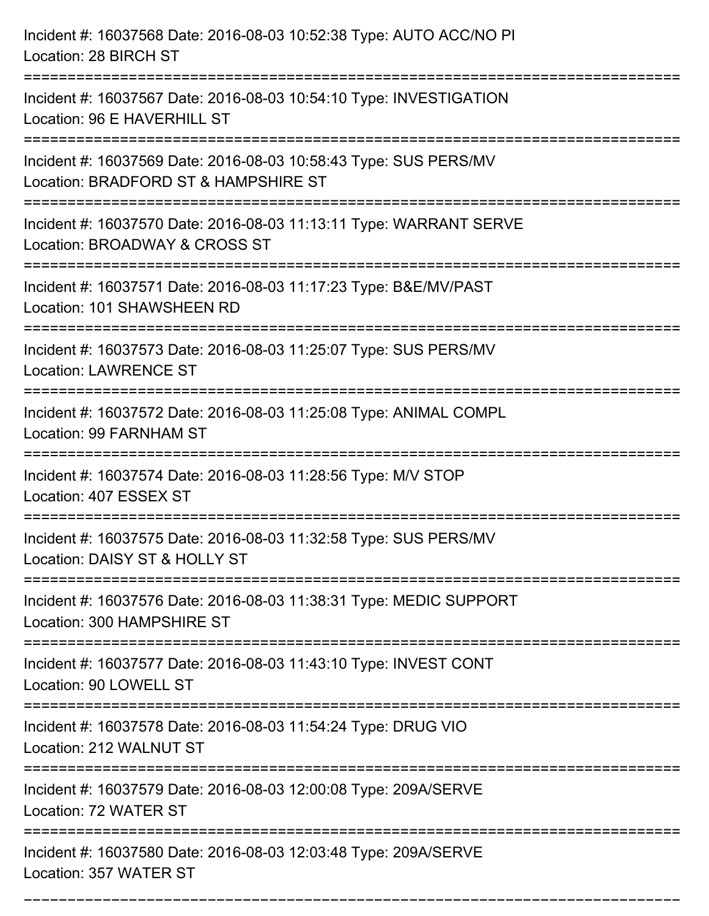| Incident #: 16037568 Date: 2016-08-03 10:52:38 Type: AUTO ACC/NO PI<br>Location: 28 BIRCH ST                                                                                      |
|-----------------------------------------------------------------------------------------------------------------------------------------------------------------------------------|
| ------------------------------------<br>Incident #: 16037567 Date: 2016-08-03 10:54:10 Type: INVESTIGATION<br>Location: 96 E HAVERHILL ST<br>------------------<br>-------------- |
| Incident #: 16037569 Date: 2016-08-03 10:58:43 Type: SUS PERS/MV<br>Location: BRADFORD ST & HAMPSHIRE ST                                                                          |
| Incident #: 16037570 Date: 2016-08-03 11:13:11 Type: WARRANT SERVE<br>Location: BROADWAY & CROSS ST                                                                               |
| Incident #: 16037571 Date: 2016-08-03 11:17:23 Type: B&E/MV/PAST<br>Location: 101 SHAWSHEEN RD                                                                                    |
| Incident #: 16037573 Date: 2016-08-03 11:25:07 Type: SUS PERS/MV<br><b>Location: LAWRENCE ST</b>                                                                                  |
| Incident #: 16037572 Date: 2016-08-03 11:25:08 Type: ANIMAL COMPL<br>Location: 99 FARNHAM ST                                                                                      |
| Incident #: 16037574 Date: 2016-08-03 11:28:56 Type: M/V STOP<br>Location: 407 ESSEX ST                                                                                           |
| Incident #: 16037575 Date: 2016-08-03 11:32:58 Type: SUS PERS/MV<br>Location: DAISY ST & HOLLY ST                                                                                 |
| Incident #: 16037576 Date: 2016-08-03 11:38:31 Type: MEDIC SUPPORT<br>Location: 300 HAMPSHIRE ST                                                                                  |
| Incident #: 16037577 Date: 2016-08-03 11:43:10 Type: INVEST CONT<br>Location: 90 LOWELL ST                                                                                        |
| Incident #: 16037578 Date: 2016-08-03 11:54:24 Type: DRUG VIO<br>Location: 212 WALNUT ST                                                                                          |
| Incident #: 16037579 Date: 2016-08-03 12:00:08 Type: 209A/SERVE<br>Location: 72 WATER ST                                                                                          |
| Incident #: 16037580 Date: 2016-08-03 12:03:48 Type: 209A/SERVE<br>Location: 357 WATER ST                                                                                         |

===========================================================================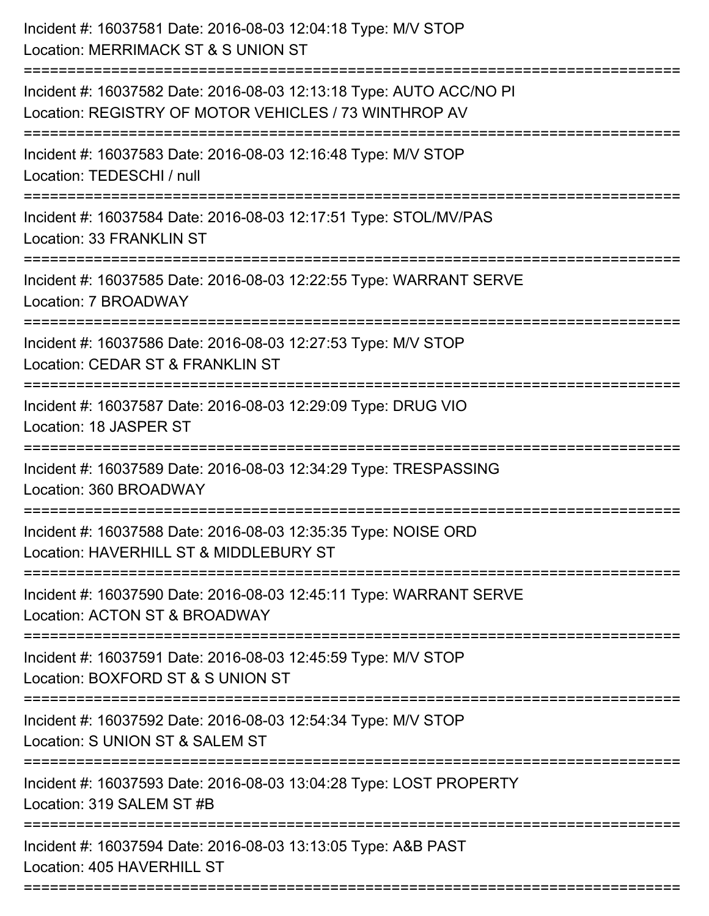| Incident #: 16037581 Date: 2016-08-03 12:04:18 Type: M/V STOP<br>Location: MERRIMACK ST & S UNION ST                             |
|----------------------------------------------------------------------------------------------------------------------------------|
| Incident #: 16037582 Date: 2016-08-03 12:13:18 Type: AUTO ACC/NO PI<br>Location: REGISTRY OF MOTOR VEHICLES / 73 WINTHROP AV     |
| Incident #: 16037583 Date: 2016-08-03 12:16:48 Type: M/V STOP<br>Location: TEDESCHI / null                                       |
| Incident #: 16037584 Date: 2016-08-03 12:17:51 Type: STOL/MV/PAS<br>Location: 33 FRANKLIN ST                                     |
| Incident #: 16037585 Date: 2016-08-03 12:22:55 Type: WARRANT SERVE<br>Location: 7 BROADWAY                                       |
| Incident #: 16037586 Date: 2016-08-03 12:27:53 Type: M/V STOP<br>Location: CEDAR ST & FRANKLIN ST                                |
| Incident #: 16037587 Date: 2016-08-03 12:29:09 Type: DRUG VIO<br>Location: 18 JASPER ST                                          |
| Incident #: 16037589 Date: 2016-08-03 12:34:29 Type: TRESPASSING<br>Location: 360 BROADWAY                                       |
| Incident #: 16037588 Date: 2016-08-03 12:35:35 Type: NOISE ORD<br>Location: HAVERHILL ST & MIDDLEBURY ST                         |
| Incident #: 16037590 Date: 2016-08-03 12:45:11 Type: WARRANT SERVE<br>Location: ACTON ST & BROADWAY                              |
| Incident #: 16037591 Date: 2016-08-03 12:45:59 Type: M/V STOP<br>Location: BOXFORD ST & S UNION ST                               |
| :===========================<br>Incident #: 16037592 Date: 2016-08-03 12:54:34 Type: M/V STOP<br>Location: S UNION ST & SALEM ST |
| Incident #: 16037593 Date: 2016-08-03 13:04:28 Type: LOST PROPERTY<br>Location: 319 SALEM ST #B                                  |
| Incident #: 16037594 Date: 2016-08-03 13:13:05 Type: A&B PAST<br>Location: 405 HAVERHILL ST                                      |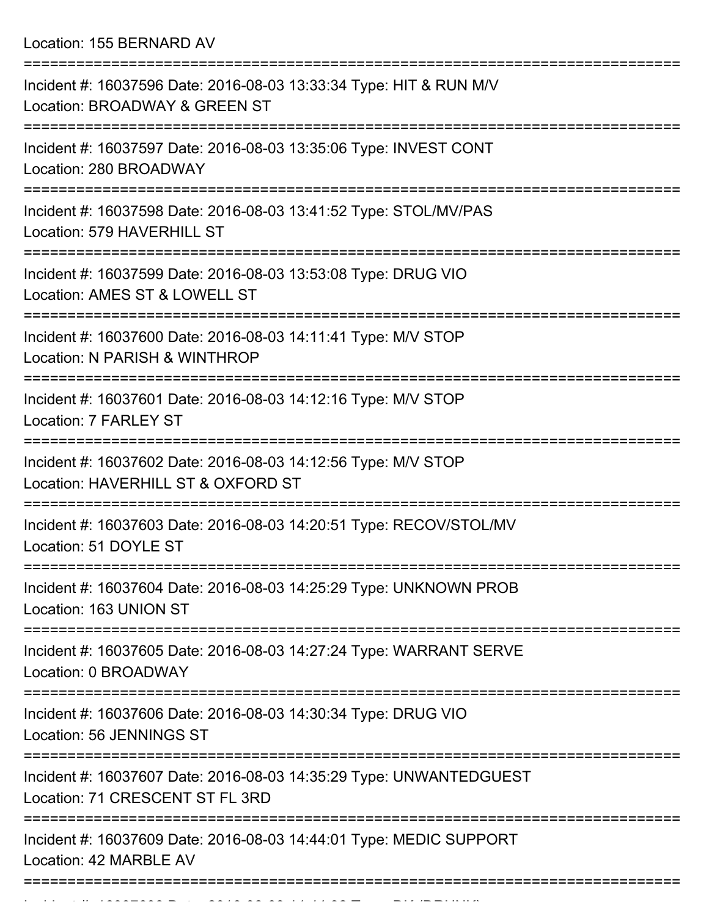Location: 155 BERNARD AV

| Incident #: 16037596 Date: 2016-08-03 13:33:34 Type: HIT & RUN M/V<br>Location: BROADWAY & GREEN ST                        |
|----------------------------------------------------------------------------------------------------------------------------|
| Incident #: 16037597 Date: 2016-08-03 13:35:06 Type: INVEST CONT<br>Location: 280 BROADWAY                                 |
| Incident #: 16037598 Date: 2016-08-03 13:41:52 Type: STOL/MV/PAS<br>Location: 579 HAVERHILL ST                             |
| Incident #: 16037599 Date: 2016-08-03 13:53:08 Type: DRUG VIO<br>Location: AMES ST & LOWELL ST                             |
| Incident #: 16037600 Date: 2016-08-03 14:11:41 Type: M/V STOP<br>Location: N PARISH & WINTHROP                             |
| Incident #: 16037601 Date: 2016-08-03 14:12:16 Type: M/V STOP<br>Location: 7 FARLEY ST                                     |
| ,,,,,,,,,,,,,,,,,,,<br>Incident #: 16037602 Date: 2016-08-03 14:12:56 Type: M/V STOP<br>Location: HAVERHILL ST & OXFORD ST |
| Incident #: 16037603 Date: 2016-08-03 14:20:51 Type: RECOV/STOL/MV<br>Location: 51 DOYLE ST                                |
| Incident #: 16037604 Date: 2016-08-03 14:25:29 Type: UNKNOWN PROB<br>Location: 163 UNION ST                                |
| Incident #: 16037605 Date: 2016-08-03 14:27:24 Type: WARRANT SERVE<br>Location: 0 BROADWAY                                 |
| Incident #: 16037606 Date: 2016-08-03 14:30:34 Type: DRUG VIO<br>Location: 56 JENNINGS ST                                  |
| Incident #: 16037607 Date: 2016-08-03 14:35:29 Type: UNWANTEDGUEST<br>Location: 71 CRESCENT ST FL 3RD                      |
| Incident #: 16037609 Date: 2016-08-03 14:44:01 Type: MEDIC SUPPORT<br>Location: 42 MARBLE AV                               |
|                                                                                                                            |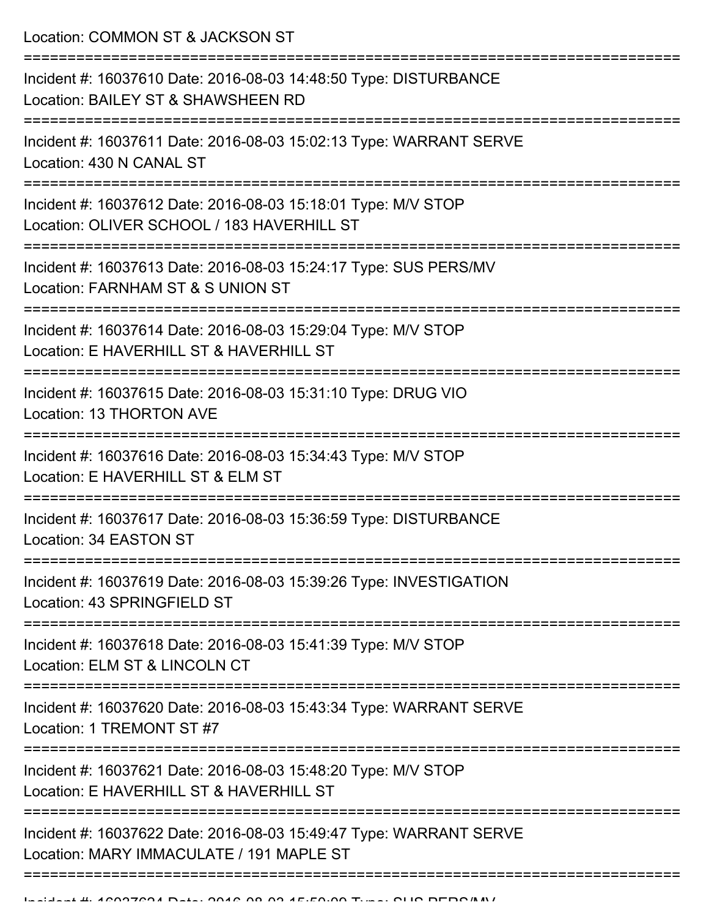Location: COMMON ST & JACKSON ST

| Incident #: 16037610 Date: 2016-08-03 14:48:50 Type: DISTURBANCE<br>Location: BAILEY ST & SHAWSHEEN RD         |
|----------------------------------------------------------------------------------------------------------------|
| Incident #: 16037611 Date: 2016-08-03 15:02:13 Type: WARRANT SERVE<br>Location: 430 N CANAL ST                 |
| Incident #: 16037612 Date: 2016-08-03 15:18:01 Type: M/V STOP<br>Location: OLIVER SCHOOL / 183 HAVERHILL ST    |
| Incident #: 16037613 Date: 2016-08-03 15:24:17 Type: SUS PERS/MV<br>Location: FARNHAM ST & S UNION ST          |
| Incident #: 16037614 Date: 2016-08-03 15:29:04 Type: M/V STOP<br>Location: E HAVERHILL ST & HAVERHILL ST       |
| Incident #: 16037615 Date: 2016-08-03 15:31:10 Type: DRUG VIO<br><b>Location: 13 THORTON AVE</b>               |
| Incident #: 16037616 Date: 2016-08-03 15:34:43 Type: M/V STOP<br>Location: E HAVERHILL ST & ELM ST             |
| Incident #: 16037617 Date: 2016-08-03 15:36:59 Type: DISTURBANCE<br>Location: 34 EASTON ST                     |
| Incident #: 16037619 Date: 2016-08-03 15:39:26 Type: INVESTIGATION<br>Location: 43 SPRINGFIELD ST              |
| Incident #: 16037618 Date: 2016-08-03 15:41:39 Type: M/V STOP<br>Location: ELM ST & LINCOLN CT                 |
| Incident #: 16037620 Date: 2016-08-03 15:43:34 Type: WARRANT SERVE<br>Location: 1 TREMONT ST #7                |
| Incident #: 16037621 Date: 2016-08-03 15:48:20 Type: M/V STOP<br>Location: E HAVERHILL ST & HAVERHILL ST       |
| Incident #: 16037622 Date: 2016-08-03 15:49:47 Type: WARRANT SERVE<br>Location: MARY IMMACULATE / 191 MAPLE ST |
|                                                                                                                |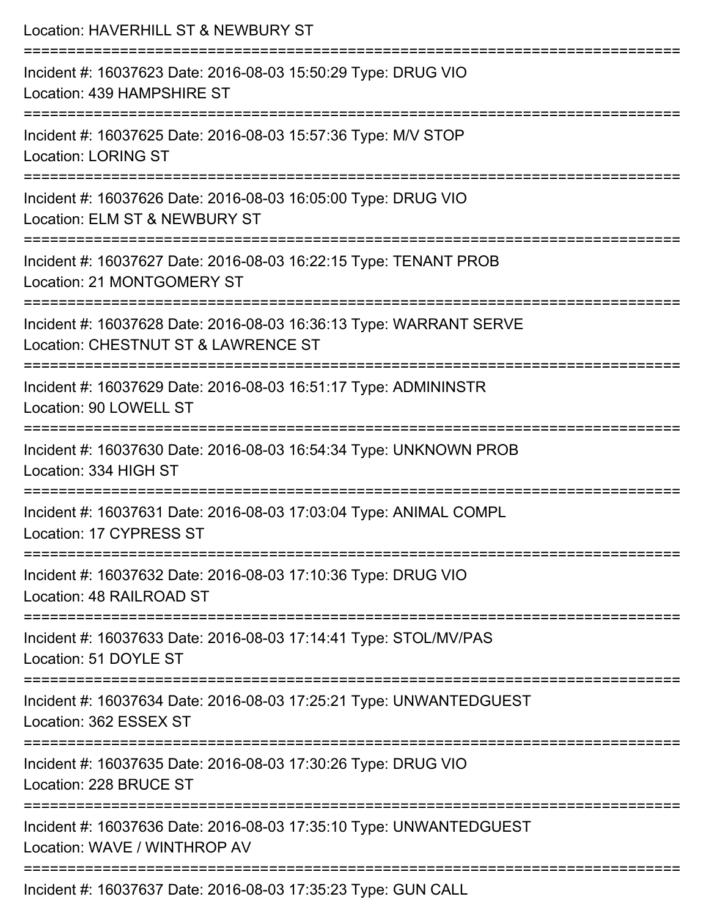| Location: HAVERHILL ST & NEWBURY ST                                                                       |
|-----------------------------------------------------------------------------------------------------------|
| Incident #: 16037623 Date: 2016-08-03 15:50:29 Type: DRUG VIO<br>Location: 439 HAMPSHIRE ST               |
| Incident #: 16037625 Date: 2016-08-03 15:57:36 Type: M/V STOP<br><b>Location: LORING ST</b>               |
| Incident #: 16037626 Date: 2016-08-03 16:05:00 Type: DRUG VIO<br>Location: ELM ST & NEWBURY ST            |
| Incident #: 16037627 Date: 2016-08-03 16:22:15 Type: TENANT PROB<br>Location: 21 MONTGOMERY ST            |
| Incident #: 16037628 Date: 2016-08-03 16:36:13 Type: WARRANT SERVE<br>Location: CHESTNUT ST & LAWRENCE ST |
| Incident #: 16037629 Date: 2016-08-03 16:51:17 Type: ADMININSTR<br>Location: 90 LOWELL ST                 |
| Incident #: 16037630 Date: 2016-08-03 16:54:34 Type: UNKNOWN PROB<br>Location: 334 HIGH ST                |
| Incident #: 16037631 Date: 2016-08-03 17:03:04 Type: ANIMAL COMPL<br>Location: 17 CYPRESS ST              |
| Incident #: 16037632 Date: 2016-08-03 17:10:36 Type: DRUG VIO<br>Location: 48 RAILROAD ST                 |
| Incident #: 16037633 Date: 2016-08-03 17:14:41 Type: STOL/MV/PAS<br>Location: 51 DOYLE ST                 |
| Incident #: 16037634 Date: 2016-08-03 17:25:21 Type: UNWANTEDGUEST<br>Location: 362 ESSEX ST              |
| Incident #: 16037635 Date: 2016-08-03 17:30:26 Type: DRUG VIO<br>Location: 228 BRUCE ST                   |
| Incident #: 16037636 Date: 2016-08-03 17:35:10 Type: UNWANTEDGUEST<br>Location: WAVE / WINTHROP AV        |
| $0.27027$ Deta: $0.040$ , $0.0$ , $0.02$ , $4.7$ ; $0.02$ , $0.07$ ; $0.08$ ; $0.01$ , $0.08$             |

Incident #: 16037637 Date: 2016-08-03 17:35:23 Type: GUN CALL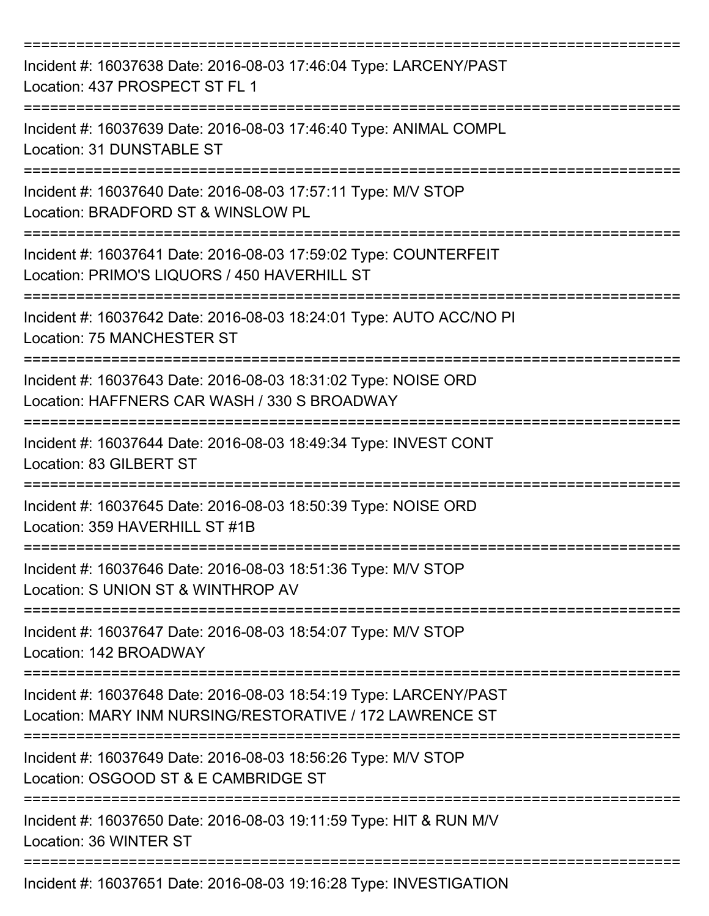| Incident #: 16037638 Date: 2016-08-03 17:46:04 Type: LARCENY/PAST<br>Location: 437 PROSPECT ST FL 1                                     |
|-----------------------------------------------------------------------------------------------------------------------------------------|
| Incident #: 16037639 Date: 2016-08-03 17:46:40 Type: ANIMAL COMPL<br>Location: 31 DUNSTABLE ST                                          |
| Incident #: 16037640 Date: 2016-08-03 17:57:11 Type: M/V STOP<br>Location: BRADFORD ST & WINSLOW PL<br>:===================             |
| Incident #: 16037641 Date: 2016-08-03 17:59:02 Type: COUNTERFEIT<br>Location: PRIMO'S LIQUORS / 450 HAVERHILL ST                        |
| Incident #: 16037642 Date: 2016-08-03 18:24:01 Type: AUTO ACC/NO PI<br>Location: 75 MANCHESTER ST                                       |
| Incident #: 16037643 Date: 2016-08-03 18:31:02 Type: NOISE ORD<br>Location: HAFFNERS CAR WASH / 330 S BROADWAY<br>--------------------- |
| Incident #: 16037644 Date: 2016-08-03 18:49:34 Type: INVEST CONT<br>Location: 83 GILBERT ST                                             |
| Incident #: 16037645 Date: 2016-08-03 18:50:39 Type: NOISE ORD<br>Location: 359 HAVERHILL ST #1B                                        |
| Incident #: 16037646 Date: 2016-08-03 18:51:36 Type: M/V STOP<br>Location: S UNION ST & WINTHROP AV                                     |
| Incident #: 16037647 Date: 2016-08-03 18:54:07 Type: M/V STOP<br>Location: 142 BROADWAY                                                 |
| Incident #: 16037648 Date: 2016-08-03 18:54:19 Type: LARCENY/PAST<br>Location: MARY INM NURSING/RESTORATIVE / 172 LAWRENCE ST           |
| Incident #: 16037649 Date: 2016-08-03 18:56:26 Type: M/V STOP<br>Location: OSGOOD ST & E CAMBRIDGE ST                                   |
| Incident #: 16037650 Date: 2016-08-03 19:11:59 Type: HIT & RUN M/V<br>Location: 36 WINTER ST                                            |
| Incident #: 16037651 Date: 2016-08-03 19:16:28 Type: INVESTIGATION                                                                      |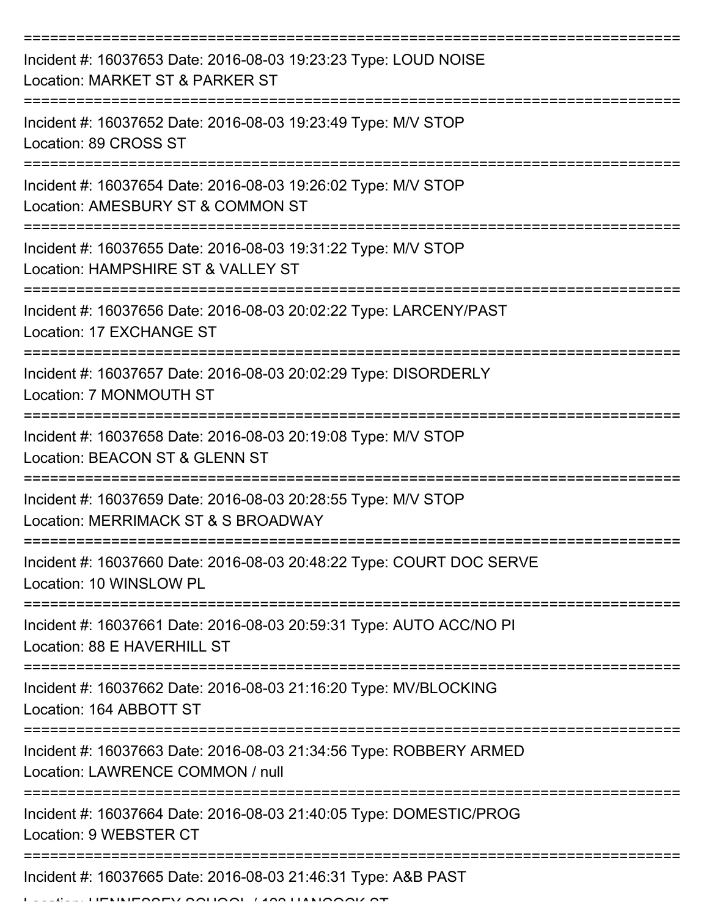| Incident #: 16037653 Date: 2016-08-03 19:23:23 Type: LOUD NOISE<br>Location: MARKET ST & PARKER ST     |
|--------------------------------------------------------------------------------------------------------|
| Incident #: 16037652 Date: 2016-08-03 19:23:49 Type: M/V STOP<br>Location: 89 CROSS ST                 |
| Incident #: 16037654 Date: 2016-08-03 19:26:02 Type: M/V STOP<br>Location: AMESBURY ST & COMMON ST     |
| Incident #: 16037655 Date: 2016-08-03 19:31:22 Type: M/V STOP<br>Location: HAMPSHIRE ST & VALLEY ST    |
| Incident #: 16037656 Date: 2016-08-03 20:02:22 Type: LARCENY/PAST<br>Location: 17 EXCHANGE ST          |
| Incident #: 16037657 Date: 2016-08-03 20:02:29 Type: DISORDERLY<br>Location: 7 MONMOUTH ST             |
| Incident #: 16037658 Date: 2016-08-03 20:19:08 Type: M/V STOP<br>Location: BEACON ST & GLENN ST        |
| Incident #: 16037659 Date: 2016-08-03 20:28:55 Type: M/V STOP<br>Location: MERRIMACK ST & S BROADWAY   |
| Incident #: 16037660 Date: 2016-08-03 20:48:22 Type: COURT DOC SERVE<br>Location: 10 WINSLOW PL        |
| Incident #: 16037661 Date: 2016-08-03 20:59:31 Type: AUTO ACC/NO PI<br>Location: 88 E HAVERHILL ST     |
| Incident #: 16037662 Date: 2016-08-03 21:16:20 Type: MV/BLOCKING<br>Location: 164 ABBOTT ST            |
| Incident #: 16037663 Date: 2016-08-03 21:34:56 Type: ROBBERY ARMED<br>Location: LAWRENCE COMMON / null |
| Incident #: 16037664 Date: 2016-08-03 21:40:05 Type: DOMESTIC/PROG<br>Location: 9 WEBSTER CT           |
| Incident #: 16037665 Date: 2016-08-03 21:46:31 Type: A&B PAST                                          |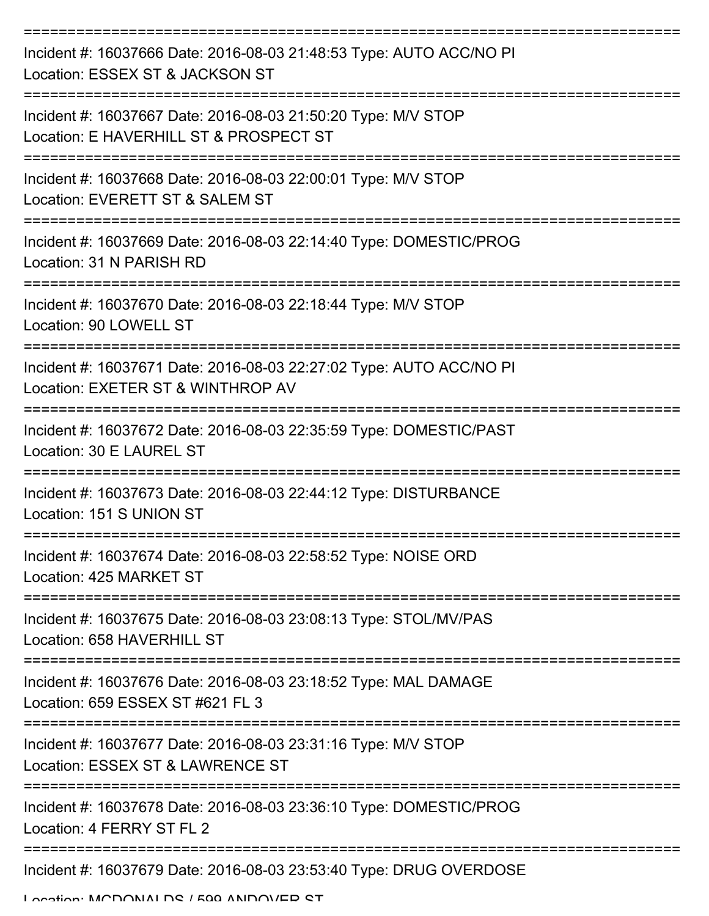| Incident #: 16037666 Date: 2016-08-03 21:48:53 Type: AUTO ACC/NO PI<br>Location: ESSEX ST & JACKSON ST   |
|----------------------------------------------------------------------------------------------------------|
| Incident #: 16037667 Date: 2016-08-03 21:50:20 Type: M/V STOP<br>Location: E HAVERHILL ST & PROSPECT ST  |
| Incident #: 16037668 Date: 2016-08-03 22:00:01 Type: M/V STOP<br>Location: EVERETT ST & SALEM ST         |
| Incident #: 16037669 Date: 2016-08-03 22:14:40 Type: DOMESTIC/PROG<br>Location: 31 N PARISH RD           |
| Incident #: 16037670 Date: 2016-08-03 22:18:44 Type: M/V STOP<br>Location: 90 LOWELL ST                  |
| Incident #: 16037671 Date: 2016-08-03 22:27:02 Type: AUTO ACC/NO PI<br>Location: EXETER ST & WINTHROP AV |
| Incident #: 16037672 Date: 2016-08-03 22:35:59 Type: DOMESTIC/PAST<br>Location: 30 E LAUREL ST           |
| Incident #: 16037673 Date: 2016-08-03 22:44:12 Type: DISTURBANCE<br>Location: 151 S UNION ST             |
| Incident #: 16037674 Date: 2016-08-03 22:58:52 Type: NOISE ORD<br>Location: 425 MARKET ST                |
| Incident #: 16037675 Date: 2016-08-03 23:08:13 Type: STOL/MV/PAS<br>Location: 658 HAVERHILL ST           |
| Incident #: 16037676 Date: 2016-08-03 23:18:52 Type: MAL DAMAGE<br>Location: 659 ESSEX ST #621 FL 3      |
| Incident #: 16037677 Date: 2016-08-03 23:31:16 Type: M/V STOP<br>Location: ESSEX ST & LAWRENCE ST        |
| Incident #: 16037678 Date: 2016-08-03 23:36:10 Type: DOMESTIC/PROG<br>Location: 4 FERRY ST FL 2          |
| Incident #: 16037679 Date: 2016-08-03 23:53:40 Type: DRUG OVERDOSE                                       |